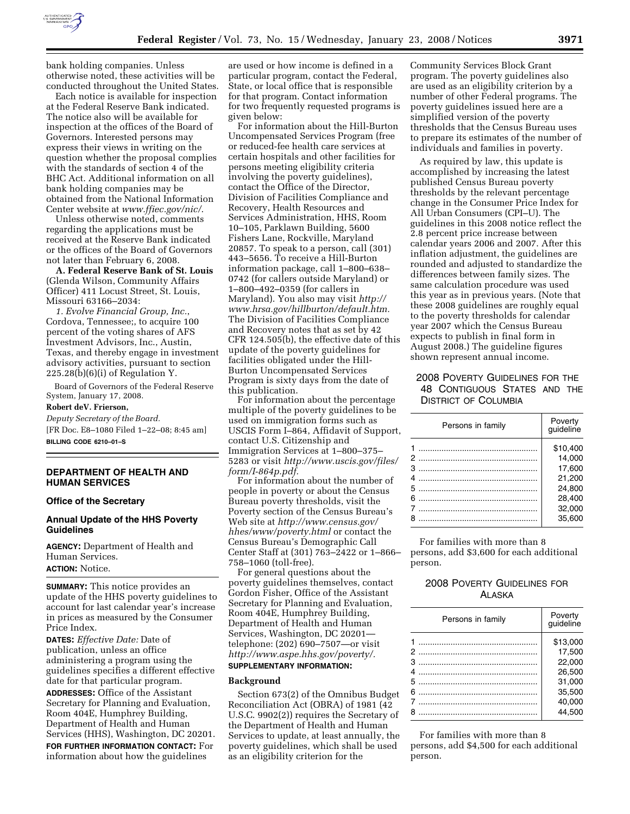

bank holding companies. Unless otherwise noted, these activities will be conducted throughout the United States.

Each notice is available for inspection at the Federal Reserve Bank indicated. The notice also will be available for inspection at the offices of the Board of Governors. Interested persons may express their views in writing on the question whether the proposal complies with the standards of section 4 of the BHC Act. Additional information on all bank holding companies may be obtained from the National Information Center website at *www.ffiec.gov/nic/*.

Unless otherwise noted, comments regarding the applications must be received at the Reserve Bank indicated or the offices of the Board of Governors not later than February 6, 2008.

**A. Federal Reserve Bank of St. Louis**  (Glenda Wilson, Community Affairs Officer) 411 Locust Street, St. Louis, Missouri 63166–2034:

*1. Evolve Financial Group, Inc.*, Cordova, Tennessee;, to acquire 100 percent of the voting shares of AFS Investment Advisors, Inc., Austin, Texas, and thereby engage in investment advisory activities, pursuant to section  $225.28(b)(6)(i)$  of Regulation Y.

Board of Governors of the Federal Reserve System, January 17, 2008.

#### **Robert deV. Frierson,**

*Deputy Secretary of the Board.*  [FR Doc. E8–1080 Filed 1–22–08; 8:45 am] **BILLING CODE 6210–01–S** 

#### **DEPARTMENT OF HEALTH AND HUMAN SERVICES**

### **Office of the Secretary**

#### **Annual Update of the HHS Poverty Guidelines**

**AGENCY:** Department of Health and Human Services.

## **ACTION:** Notice.

**SUMMARY:** This notice provides an update of the HHS poverty guidelines to account for last calendar year's increase in prices as measured by the Consumer Price Index.

**DATES:** *Effective Date:* Date of publication, unless an office administering a program using the guidelines specifies a different effective date for that particular program.

**ADDRESSES:** Office of the Assistant Secretary for Planning and Evaluation, Room 404E, Humphrey Building, Department of Health and Human Services (HHS), Washington, DC 20201.

**FOR FURTHER INFORMATION CONTACT:** For information about how the guidelines

are used or how income is defined in a particular program, contact the Federal, State, or local office that is responsible for that program. Contact information for two frequently requested programs is given below:

For information about the Hill-Burton Uncompensated Services Program (free or reduced-fee health care services at certain hospitals and other facilities for persons meeting eligibility criteria involving the poverty guidelines), contact the Office of the Director, Division of Facilities Compliance and Recovery, Health Resources and Services Administration, HHS, Room 10–105, Parklawn Building, 5600 Fishers Lane, Rockville, Maryland 20857. To speak to a person, call (301) 443–5656. To receive a Hill-Burton information package, call 1–800–638– 0742 (for callers outside Maryland) or 1–800–492–0359 (for callers in Maryland). You also may visit *http:// www.hrsa.gov/hillburton/default.htm.*  The Division of Facilities Compliance and Recovery notes that as set by 42 CFR 124.505(b), the effective date of this update of the poverty guidelines for facilities obligated under the Hill-Burton Uncompensated Services Program is sixty days from the date of this publication.

For information about the percentage multiple of the poverty guidelines to be used on immigration forms such as USCIS Form I–864, Affidavit of Support, contact U.S. Citizenship and Immigration Services at 1–800–375– 5283 or visit *http://www.uscis.gov/files/ form/I-864p.pdf.* 

For information about the number of people in poverty or about the Census Bureau poverty thresholds, visit the Poverty section of the Census Bureau's Web site at *http://www.census.gov/ hhes/www/poverty.html* or contact the Census Bureau's Demographic Call Center Staff at (301) 763–2422 or 1–866– 758–1060 (toll-free).

For general questions about the poverty guidelines themselves, contact Gordon Fisher, Office of the Assistant Secretary for Planning and Evaluation, Room 404E, Humphrey Building, Department of Health and Human Services, Washington, DC 20201 telephone: (202) 690–7507—or visit *http://www.aspe.hhs.gov/poverty/.*  **SUPPLEMENTARY INFORMATION:** 

# **Background**

Section 673(2) of the Omnibus Budget Reconciliation Act (OBRA) of 1981 (42 U.S.C. 9902(2)) requires the Secretary of the Department of Health and Human Services to update, at least annually, the poverty guidelines, which shall be used as an eligibility criterion for the

Community Services Block Grant program. The poverty guidelines also are used as an eligibility criterion by a number of other Federal programs. The poverty guidelines issued here are a simplified version of the poverty thresholds that the Census Bureau uses to prepare its estimates of the number of individuals and families in poverty.

As required by law, this update is accomplished by increasing the latest published Census Bureau poverty thresholds by the relevant percentage change in the Consumer Price Index for All Urban Consumers (CPI–U). The guidelines in this 2008 notice reflect the 2.8 percent price increase between calendar years 2006 and 2007. After this inflation adjustment, the guidelines are rounded and adjusted to standardize the differences between family sizes. The same calculation procedure was used this year as in previous years. (Note that these 2008 guidelines are roughly equal to the poverty thresholds for calendar year 2007 which the Census Bureau expects to publish in final form in August 2008.) The guideline figures shown represent annual income.

## 2008 POVERTY GUIDELINES FOR THE 48 CONTIGUOUS STATES AND THE DISTRICT OF COLUMBIA

| Persons in family | Poverty<br>guideline |
|-------------------|----------------------|
|                   | \$10.400             |
|                   | 14,000               |
|                   | 17.600               |
| 4                 | 21.200               |
|                   | 24.800               |
| 6                 | 28.400               |
|                   | 32.000               |
|                   | 35.600               |

For families with more than 8 persons, add \$3,600 for each additional person.

## 2008 POVERTY GUIDELINES FOR ALASKA

| Persons in family | Poverty<br>guideline |
|-------------------|----------------------|
|                   | \$13.000             |
|                   | 17,500               |
|                   | 22.000               |
|                   | 26.500               |
|                   | 31.000               |
|                   | 35.500               |
|                   | 40.000               |
| я                 | 44.500               |

For families with more than 8 persons, add \$4,500 for each additional person.